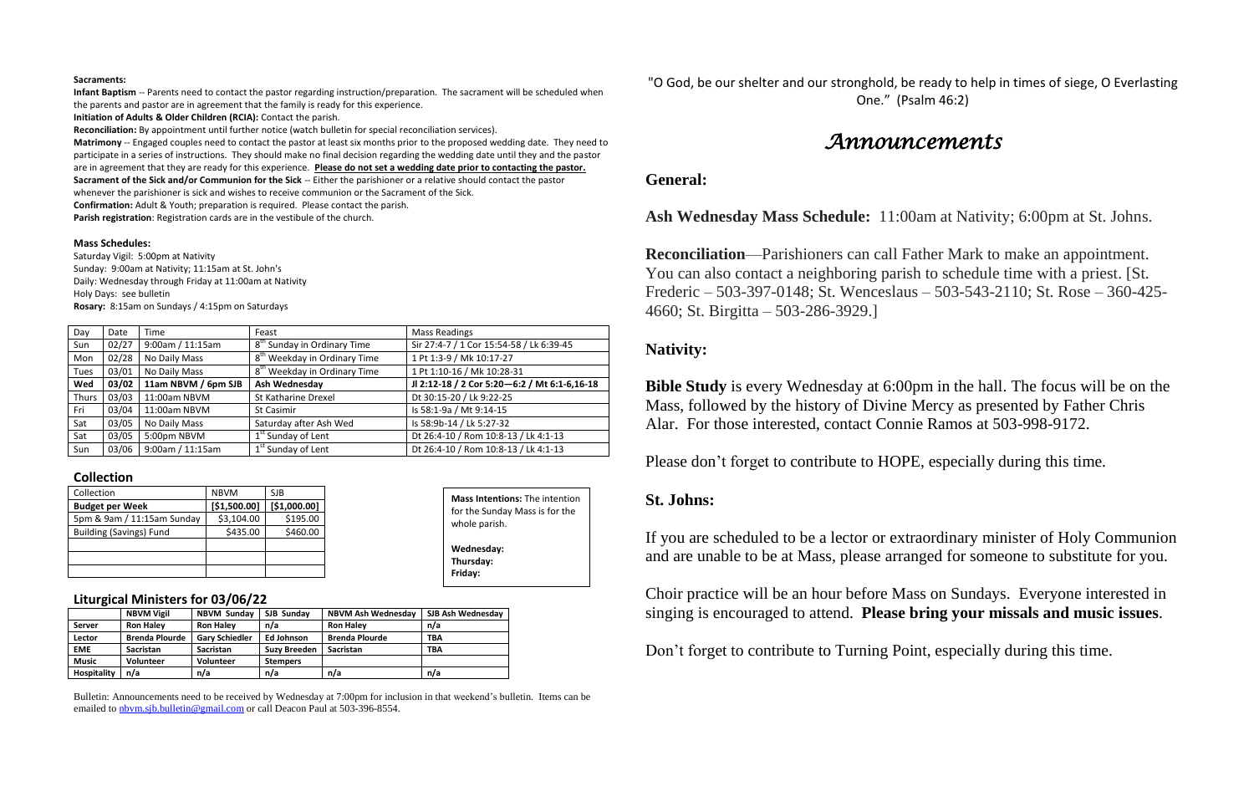#### **Sacraments:**

**Infant Baptism** -- Parents need to contact the pastor regarding instruction/preparation. The sacrament will be scheduled when the parents and pastor are in agreement that the family is ready for this experience.

**Initiation of Adults & Older Children (RCIA):** Contact the parish.

**Reconciliation:** By appointment until further notice (watch bulletin for special reconciliation services).

**Matrimony** -- Engaged couples need to contact the pastor at least six months prior to the proposed wedding date. They need to participate in a series of instructions. They should make no final decision regarding the wedding date until they and the pastor are in agreement that they are ready for this experience. **Please do not set a wedding date prior to contacting the pastor. Sacrament of the Sick and/or Communion for the Sick** -- Either the parishioner or a relative should contact the pastor whenever the parishioner is sick and wishes to receive communion or the Sacrament of the Sick.

**Confirmation:** Adult & Youth; preparation is required. Please contact the parish.

**Parish registration**: Registration cards are in the vestibule of the church.

#### **Mass Schedules:**

Saturday Vigil: 5:00pm at Nativity Sunday: 9:00am at Nativity; 11:15am at St. John's Daily: Wednesday through Friday at 11:00am at Nativity Holy Days: see bulletin **Rosary:** 8:15am on Sundays / 4:15pm on Saturdays

Bulletin: Announcements need to be received by Wednesday at 7:00pm for inclusion in that weekend's bulletin. Items can be emailed to [nbvm.sjb.bulletin@gmail.com](mailto:nbvm.sjb.bulletin@gmail.com) or call Deacon Paul at 503-396-8554.

| Day          | Date  | Time                | Feast                                    | <b>Mass Readings</b>                         |  |
|--------------|-------|---------------------|------------------------------------------|----------------------------------------------|--|
| Sun          | 02/27 | 9:00am / 11:15am    | 8 <sup>th</sup> Sunday in Ordinary Time  | Sir 27:4-7 / 1 Cor 15:54-58 / Lk 6:39-45     |  |
| Mon          | 02/28 | No Daily Mass       | 8 <sup>th</sup> Weekday in Ordinary Time | 1 Pt 1:3-9 / Mk 10:17-27                     |  |
| <b>Tues</b>  | 03/01 | No Daily Mass       | 8 <sup>th</sup> Weekday in Ordinary Time | 1 Pt 1:10-16 / Mk 10:28-31                   |  |
| Wed          | 03/02 | 11am NBVM / 6pm SJB | Ash Wednesday                            | Jl 2:12-18 / 2 Cor 5:20-6:2 / Mt 6:1-6,16-18 |  |
| <b>Thurs</b> | 03/03 | 11:00am NBVM        | St Katharine Drexel                      | Dt 30:15-20 / Lk 9:22-25                     |  |
| Fri          | 03/04 | 11:00am NBVM        | St Casimir                               | Is 58:1-9a / Mt 9:14-15                      |  |
| Sat          | 03/05 | No Daily Mass       | Saturday after Ash Wed                   | Is 58:9b-14 / Lk 5:27-32                     |  |
| Sat          | 03/05 | 5:00pm NBVM         | 1 <sup>st</sup> Sunday of Lent           | Dt 26:4-10 / Rom 10:8-13 / Lk 4:1-13         |  |
| Sun          | 03/06 | 9:00am / 11:15am    | 1 <sup>st</sup> Sunday of Lent           | Dt 26:4-10 / Rom 10:8-13 / Lk 4:1-13         |  |

#### **Collection**

| Collection                     | <b>NBVM</b>  | SJB          |
|--------------------------------|--------------|--------------|
| <b>Budget per Week</b>         | [\$1,500.00] | [\$1,000.00] |
| 5pm & 9am / 11:15am Sunday     | \$3,104.00   | \$195.00     |
| <b>Building (Savings) Fund</b> | \$435.00     | \$460.00     |
|                                |              |              |
|                                |              |              |
|                                |              |              |

#### **Liturgical Ministers for 03/06/22**

|              | <b>NBVM Vigil</b>     | <b>NBVM Sunday</b>    | SJB Sundav          | <b>NBVM Ash Wednesday</b> | SJB Ash Wednesdav |
|--------------|-----------------------|-----------------------|---------------------|---------------------------|-------------------|
| Server       | <b>Ron Haley</b>      | <b>Ron Halev</b>      | n/a                 | <b>Ron Halev</b>          | n/a               |
| Lector       | <b>Brenda Plourde</b> | <b>Gary Schiedler</b> | Ed Johnson          | <b>Brenda Plourde</b>     | <b>TBA</b>        |
| <b>EME</b>   | <b>Sacristan</b>      | <b>Sacristan</b>      | <b>Suzy Breeden</b> | <b>Sacristan</b>          | <b>TBA</b>        |
| <b>Music</b> | <b>Volunteer</b>      | <b>Volunteer</b>      | <b>Stempers</b>     |                           |                   |
| Hospitality  | n/a                   | n/a                   | n/a                 | n/a                       | n/a               |

"O God, be our shelter and our stronghold, be ready to help in times of siege, O Everlasting One." (Psalm 46:2)

## *Announcements*

### **General:**

**Ash Wednesday Mass Schedule:** 11:00am at Nativity; 6:00pm at St. Johns.

**Reconciliation**—Parishioners can call Father Mark to make an appointment. You can also contact a neighboring parish to schedule time with a priest. [St. Frederic – 503-397-0148; St. Wenceslaus – 503-543-2110; St. Rose – 360-425- 4660; St. Birgitta – 503-286-3929.]

## **Nativity:**

**Bible Study** is every Wednesday at 6:00pm in the hall. The focus will be on the Mass, followed by the history of Divine Mercy as presented by Father Chris Alar. For those interested, contact Connie Ramos at 503-998-9172.

Please don't forget to contribute to HOPE, especially during this time.

## **St. Johns:**

If you are scheduled to be a lector or extraordinary minister of Holy Communion and are unable to be at Mass, please arranged for someone to substitute for you.

Choir practice will be an hour before Mass on Sundays. Everyone interested in singing is encouraged to attend. **Please bring your missals and music issues**.

Don't forget to contribute to Turning Point, especially during this time.

**Mass Intentions:** The intention for the Sunday Mass is for the

whole parish.

**Wednesday: Thursday: Friday:**